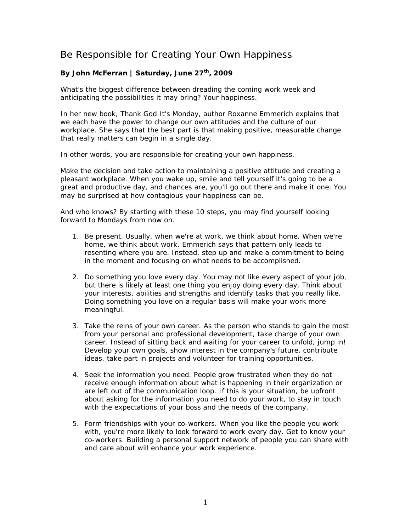## Be Responsible for Creating Your Own Happiness

## By John McFerran | Saturday, June 27<sup>th</sup>, 2009

What's the biggest difference between dreading the coming work week and anticipating the possibilities it may bring? Your happiness.

In her new book, *Thank God It's Monday*, author Roxanne Emmerich explains that we each have the power to change our own attitudes and the culture of our workplace. She says that the best part is that making positive, measurable change that really matters can begin in a single day.

In other words, you are responsible for creating your own happiness.

Make the decision and take action to maintaining a positive attitude and creating a pleasant workplace. When you wake up, smile and tell yourself it's going to be a great and productive day, and chances are, you'll go out there and make it one. You may be surprised at how contagious your happiness can be.

And who knows? By starting with these 10 steps, you may find yourself looking forward to Mondays from now on.

- 1. Be present. Usually, when we're at work, we think about home. When we're home, we think about work. Emmerich says that pattern only leads to resenting where you are. Instead, step up and make a commitment to being in the moment and focusing on what needs to be accomplished.
- 2. Do something you love every day. You may not like every aspect of your job, but there is likely at least one thing you enjoy doing every day. Think about your interests, abilities and strengths and identify tasks that you really like. Doing something you love on a regular basis will make your work more meaningful.
- 3. Take the reins of your own career. As the person who stands to gain the most from your personal and professional development, take charge of your own career. Instead of sitting back and waiting for your career to unfold, jump in! Develop your own goals, show interest in the company's future, contribute ideas, take part in projects and volunteer for training opportunities.
- 4. Seek the information you need. People grow frustrated when they do not receive enough information about what is happening in their organization or are left out of the communication loop. If this is your situation, be upfront about asking for the information you need to do your work, to stay in touch with the expectations of your boss and the needs of the company.
- 5. Form friendships with your co-workers. When you like the people you work with, you're more likely to look forward to work every day. Get to know your co-workers. Building a personal support network of people you can share with and care about will enhance your work experience.